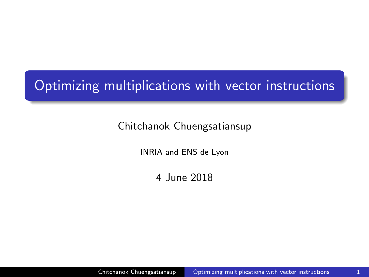# <span id="page-0-0"></span>Optimizing multiplications with vector instructions

#### Chitchanok Chuengsatiansup

INRIA and ENS de Lyon

4 June 2018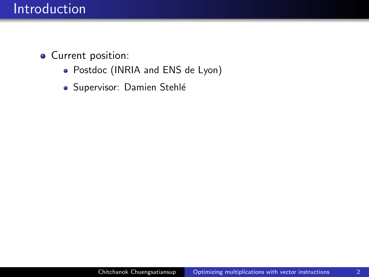- Current position:
	- Postdoc (INRIA and ENS de Lyon)
	- · Supervisor: Damien Stehlé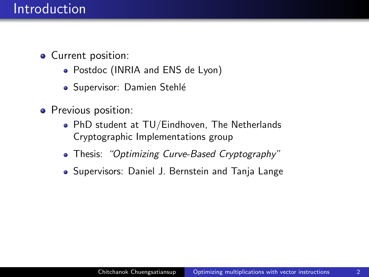- Current position:
	- Postdoc (INRIA and ENS de Lyon)
	- · Supervisor: Damien Stehlé
- Previous position:
	- PhD student at TU/Eindhoven, The Netherlands Cryptographic Implementations group
	- Thesis: "Optimizing Curve-Based Cryptography"
	- Supervisors: Daniel J. Bernstein and Tanja Lange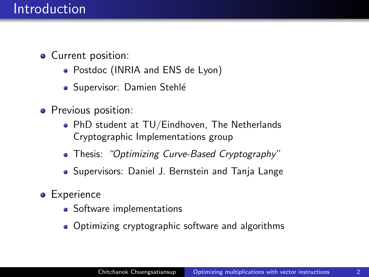- Current position:
	- Postdoc (INRIA and ENS de Lyon)
	- Supervisor: Damien Stehlé
- Previous position:
	- PhD student at TU/Eindhoven, The Netherlands Cryptographic Implementations group
	- Thesis: "Optimizing Curve-Based Cryptography"
	- Supervisors: Daniel J. Bernstein and Tanja Lange
- **•** Experience
	- Software implementations
	- Optimizing cryptographic software and algorithms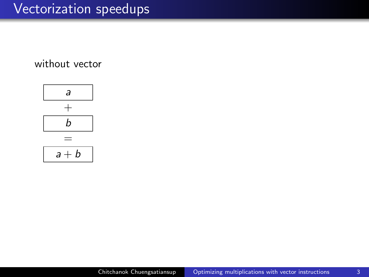#### without vector

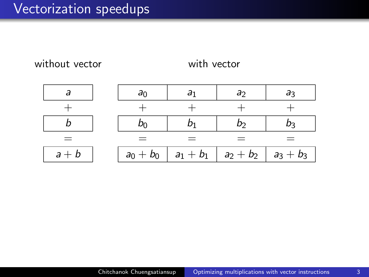without vector

with vector

|         | ar          |                                 |             |
|---------|-------------|---------------------------------|-------------|
|         |             |                                 |             |
|         |             |                                 |             |
|         |             |                                 |             |
| $a + b$ | $a_0 + b_0$ | $a_1 + b_1 \mid a_2 + b_2 \mid$ | $a_3 + b_3$ |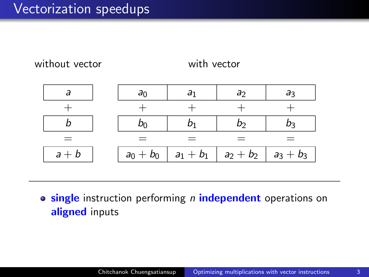without vector

with vector

| $=$     | $=$         | $=$                             |             |
|---------|-------------|---------------------------------|-------------|
| $a + b$ | $a_0 + b_0$ | $a_1 + b_1 \mid a_2 + b_2 \mid$ | $a_3 + b_3$ |

**o** single instruction performing n independent operations on aligned inputs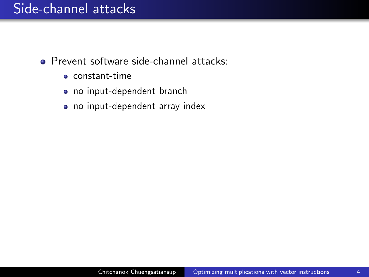### Side-channel attacks

- Prevent software side-channel attacks:
	- constant-time
	- no input-dependent branch
	- no input-dependent array index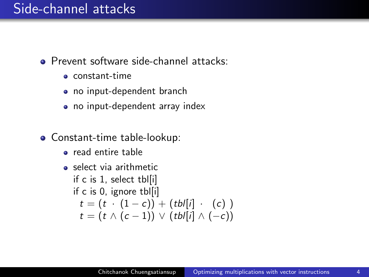### Side-channel attacks

- **•** Prevent software side-channel attacks:
	- constant-time
	- no input-dependent branch
	- no input-dependent array index
- Constant-time table-lookup:
	- read entire table
	- select via arithmetic if c is 1, select tbl[i] if c is 0, ignore tbl[i]  $t = (t \cdot (1-c)) + (tb/[i] \cdot (c))$  $t = (t \wedge (c-1)) \vee (tb[[i] \wedge (-c))]$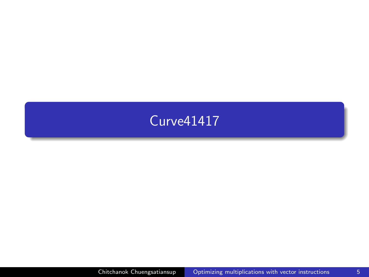### <span id="page-9-0"></span>[Curve41417](#page-9-0)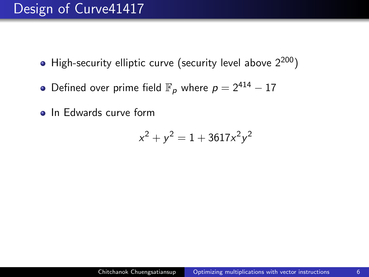### Design of Curve41417

- High-security elliptic curve (security level above  $2^{200}$ )
- Defined over prime field  $\mathbb{F}_p$  where  $p = 2^{414} 17$
- **o** In Edwards curve form

$$
x^2 + y^2 = 1 + 3617x^2y^2
$$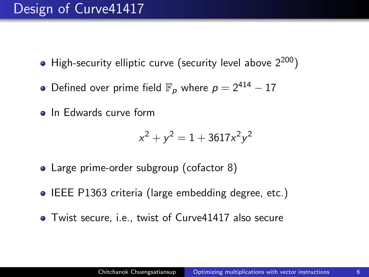### Design of Curve41417

- High-security elliptic curve (security level above  $2^{200}$ )
- Defined over prime field  $\mathbb{F}_p$  where  $p = 2^{414} 17$
- In Edwards curve form

$$
x^2 + y^2 = 1 + 3617x^2y^2
$$

- Large prime-order subgroup (cofactor 8)
- IEEE P1363 criteria (large embedding degree, etc.)
- Twist secure, i.e., twist of Curve41417 also secure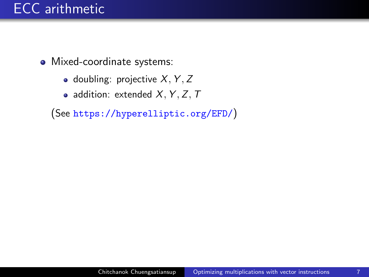## ECC arithmetic

- Mixed-coordinate systems:
	- doubling: projective  $X, Y, Z$
	- addition: extended  $X, Y, Z, T$

(See <https://hyperelliptic.org/EFD/>)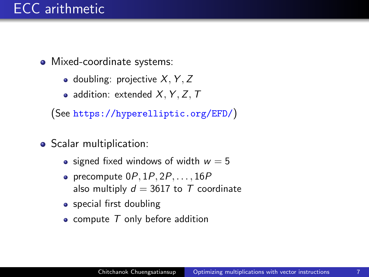### ECC arithmetic

- Mixed-coordinate systems:
	- doubling: projective  $X, Y, Z$
	- addition: extended  $X, Y, Z, T$

(See <https://hyperelliptic.org/EFD/>)

- Scalar multiplication:
	- signed fixed windows of width  $w = 5$
	- precompute  $0P, 1P, 2P, \ldots, 16P$ also multiply  $d = 3617$  to T coordinate
	- special first doubling
	- compute  $T$  only before addition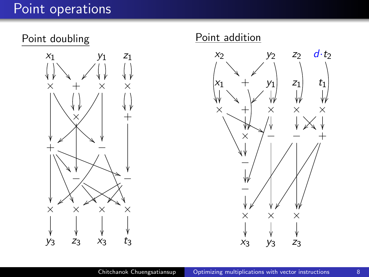## Point operations





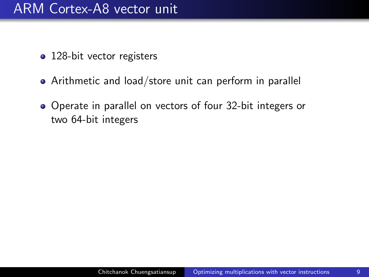### ARM Cortex-A8 vector unit

- 128-bit vector registers
- Arithmetic and load/store unit can perform in parallel
- Operate in parallel on vectors of four 32-bit integers or two 64-bit integers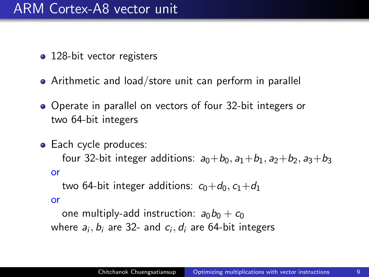### ARM Cortex-A8 vector unit

- 128-bit vector registers
- Arithmetic and load/store unit can perform in parallel
- Operate in parallel on vectors of four 32-bit integers or two 64-bit integers
- Each cycle produces:

four 32-bit integer additions:  $a_0+b_0$ ,  $a_1+b_1$ ,  $a_2+b_2$ ,  $a_3+b_3$ or

two 64-bit integer additions:  $c_0+d_0$ ,  $c_1+d_1$ 

or

one multiply-add instruction:  $a_0b_0 + c_0$ where  $a_i, b_i$  are 32- and  $c_i, d_i$  are 64-bit integers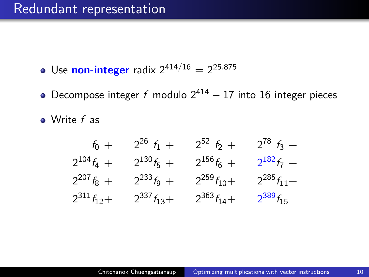- Use **non-integer** radix  $2^{414/16} = 2^{25.875}$
- Decompose integer f modulo  $2^{414} 17$  into 16 integer pieces
- Write f as

| $f_0 +$          | $2^{26} f_1 +$   | $2^{52} f_2 +$   | $2^{78} f_3 +$   |
|------------------|------------------|------------------|------------------|
| $2^{104}f_4 +$   | $2^{130}f_5 +$   | $2^{156}f_6 +$   | $2^{182}f_7 +$   |
| $2^{207} f_8 +$  | $2^{233}f_9 +$   | $2^{259}f_{10}+$ | $2^{285}f_{11}+$ |
| $2^{311}f_{12}+$ | $2^{337}f_{13}+$ | $2^{363}f_{14}+$ | $2^{389}f_{15}$  |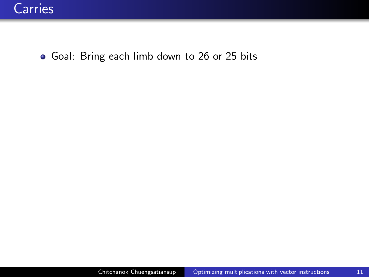• Goal: Bring each limb down to 26 or 25 bits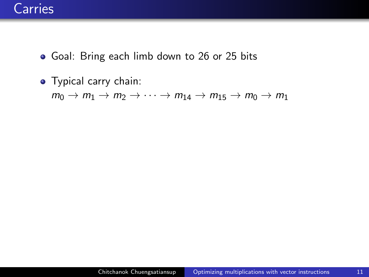- Goal: Bring each limb down to 26 or 25 bits
- Typical carry chain:

 $m_0 \rightarrow m_1 \rightarrow m_2 \rightarrow \cdots \rightarrow m_{14} \rightarrow m_{15} \rightarrow m_0 \rightarrow m_1$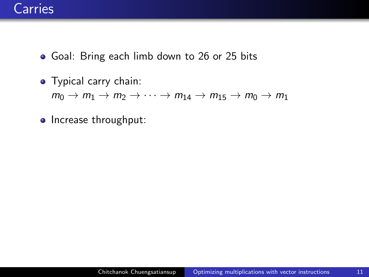- Goal: Bring each limb down to 26 or 25 bits
- Typical carry chain:  $m_0 \rightarrow m_1 \rightarrow m_2 \rightarrow \cdots \rightarrow m_{14} \rightarrow m_{15} \rightarrow m_0 \rightarrow m_1$
- Increase throughput: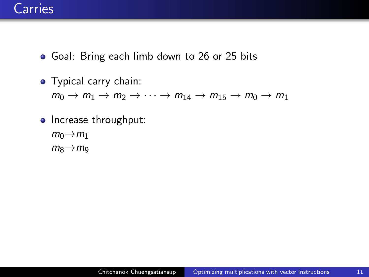- Goal: Bring each limb down to 26 or 25 bits
- Typical carry chain:  $m_0 \rightarrow m_1 \rightarrow m_2 \rightarrow \cdots \rightarrow m_{14} \rightarrow m_{15} \rightarrow m_0 \rightarrow m_1$
- Increase throughput:
	- $m_0 \rightarrow m_1$
	- $m_8 \rightarrow m_9$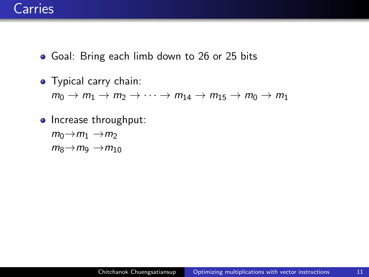- Goal: Bring each limb down to 26 or 25 bits
- Typical carry chain:  $m_0 \rightarrow m_1 \rightarrow m_2 \rightarrow \cdots \rightarrow m_{14} \rightarrow m_{15} \rightarrow m_0 \rightarrow m_1$
- Increase throughput:  $m_0 \rightarrow m_1 \rightarrow m_2$ 
	- $m_8 \rightarrow m_9 \rightarrow m_{10}$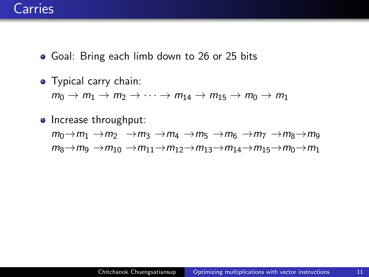- Goal: Bring each limb down to 26 or 25 bits
- Typical carry chain:  $m_0 \rightarrow m_1 \rightarrow m_2 \rightarrow \cdots \rightarrow m_{14} \rightarrow m_{15} \rightarrow m_0 \rightarrow m_1$
- Increase throughput:  $m_0 \rightarrow m_1 \rightarrow m_2 \rightarrow m_3 \rightarrow m_4 \rightarrow m_5 \rightarrow m_6 \rightarrow m_7 \rightarrow m_8 \rightarrow m_9$  $m_8 \rightarrow m_9 \rightarrow m_{10} \rightarrow m_{11} \rightarrow m_{12} \rightarrow m_{13} \rightarrow m_{14} \rightarrow m_{15} \rightarrow m_0 \rightarrow m_1$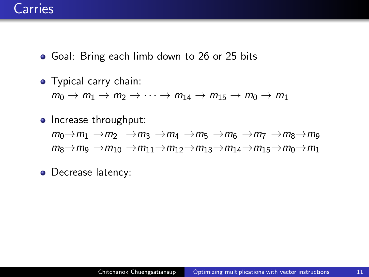- Goal: Bring each limb down to 26 or 25 bits
- Typical carry chain:  $m_0 \rightarrow m_1 \rightarrow m_2 \rightarrow \cdots \rightarrow m_{14} \rightarrow m_{15} \rightarrow m_0 \rightarrow m_1$
- Increase throughput:  $m_0 \rightarrow m_1 \rightarrow m_2 \rightarrow m_3 \rightarrow m_4 \rightarrow m_5 \rightarrow m_6 \rightarrow m_7 \rightarrow m_8 \rightarrow m_9$  $m_8 \rightarrow m_9 \rightarrow m_{10} \rightarrow m_{11} \rightarrow m_{12} \rightarrow m_{13} \rightarrow m_{14} \rightarrow m_{15} \rightarrow m_0 \rightarrow m_1$

• Decrease latency: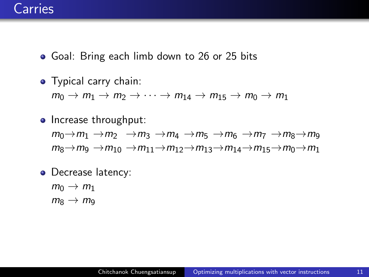- Goal: Bring each limb down to 26 or 25 bits
- Typical carry chain:  $m_0 \rightarrow m_1 \rightarrow m_2 \rightarrow \cdots \rightarrow m_{14} \rightarrow m_{15} \rightarrow m_0 \rightarrow m_1$
- Increase throughput:  $m_0 \rightarrow m_1 \rightarrow m_2 \rightarrow m_3 \rightarrow m_4 \rightarrow m_5 \rightarrow m_6 \rightarrow m_7 \rightarrow m_8 \rightarrow m_9$  $m_8 \rightarrow m_9 \rightarrow m_{10} \rightarrow m_{11} \rightarrow m_{12} \rightarrow m_{13} \rightarrow m_{14} \rightarrow m_{15} \rightarrow m_0 \rightarrow m_1$
- Decrease latency:
	- $m_0 \rightarrow m_1$  $m_8 \rightarrow m_9$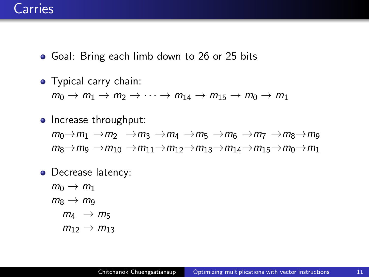- Goal: Bring each limb down to 26 or 25 bits
- Typical carry chain:  $m_0 \rightarrow m_1 \rightarrow m_2 \rightarrow \cdots \rightarrow m_{14} \rightarrow m_{15} \rightarrow m_0 \rightarrow m_1$
- Increase throughput:  $m_0 \rightarrow m_1 \rightarrow m_2 \rightarrow m_3 \rightarrow m_4 \rightarrow m_5 \rightarrow m_6 \rightarrow m_7 \rightarrow m_8 \rightarrow m_9$  $m_8 \rightarrow m_9 \rightarrow m_{10} \rightarrow m_{11} \rightarrow m_{12} \rightarrow m_{13} \rightarrow m_{14} \rightarrow m_{15} \rightarrow m_0 \rightarrow m_1$
- Decrease latency:
	- $m_0 \rightarrow m_1$  $m_8 \rightarrow m_9$  $m_4 \rightarrow m_5$  $m_{12} \to m_{13}$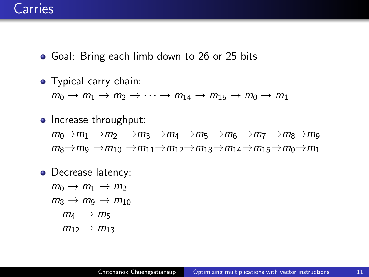- Goal: Bring each limb down to 26 or 25 bits
- Typical carry chain:  $m_0 \rightarrow m_1 \rightarrow m_2 \rightarrow \cdots \rightarrow m_{14} \rightarrow m_{15} \rightarrow m_0 \rightarrow m_1$
- Increase throughput:  $m_0 \rightarrow m_1 \rightarrow m_2 \rightarrow m_3 \rightarrow m_4 \rightarrow m_5 \rightarrow m_6 \rightarrow m_7 \rightarrow m_8 \rightarrow m_9$  $m_8 \rightarrow m_9 \rightarrow m_{10} \rightarrow m_{11} \rightarrow m_{12} \rightarrow m_{13} \rightarrow m_{14} \rightarrow m_{15} \rightarrow m_0 \rightarrow m_1$
- Decrease latency:

 $m_0 \rightarrow m_1 \rightarrow m_2$  $m_8 \rightarrow m_9 \rightarrow m_{10}$  $m_4 \rightarrow m_5$  $m_{12} \rightarrow m_{13}$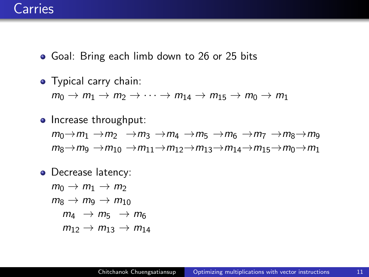- Goal: Bring each limb down to 26 or 25 bits
- Typical carry chain:  $m_0 \rightarrow m_1 \rightarrow m_2 \rightarrow \cdots \rightarrow m_{14} \rightarrow m_{15} \rightarrow m_0 \rightarrow m_1$
- Increase throughput:  $m_0 \rightarrow m_1 \rightarrow m_2 \rightarrow m_3 \rightarrow m_4 \rightarrow m_5 \rightarrow m_6 \rightarrow m_7 \rightarrow m_8 \rightarrow m_9$  $m_8 \rightarrow m_9 \rightarrow m_{10} \rightarrow m_{11} \rightarrow m_{12} \rightarrow m_{13} \rightarrow m_{14} \rightarrow m_{15} \rightarrow m_0 \rightarrow m_1$
- Decrease latency:

 $m_0 \rightarrow m_1 \rightarrow m_2$  $m_8 \rightarrow m_9 \rightarrow m_{10}$  $m_4 \rightarrow m_5 \rightarrow m_6$  $m_{12} \rightarrow m_{13} \rightarrow m_{14}$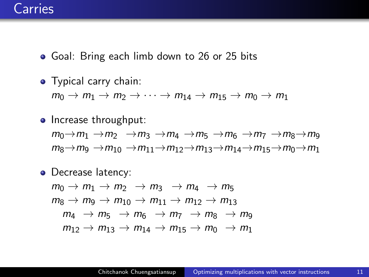- Goal: Bring each limb down to 26 or 25 bits
- Typical carry chain:  $m_0 \rightarrow m_1 \rightarrow m_2 \rightarrow \cdots \rightarrow m_{14} \rightarrow m_{15} \rightarrow m_0 \rightarrow m_1$
- Increase throughput:  $m_0 \rightarrow m_1 \rightarrow m_2 \rightarrow m_3 \rightarrow m_4 \rightarrow m_5 \rightarrow m_6 \rightarrow m_7 \rightarrow m_8 \rightarrow m_9$  $m_8 \rightarrow m_9 \rightarrow m_{10} \rightarrow m_{11} \rightarrow m_{12} \rightarrow m_{13} \rightarrow m_{14} \rightarrow m_{15} \rightarrow m_0 \rightarrow m_1$
- Decrease latency:  $m_0 \rightarrow m_1 \rightarrow m_2 \rightarrow m_3 \rightarrow m_4 \rightarrow m_5$  $m_8 \rightarrow m_9 \rightarrow m_{10} \rightarrow m_{11} \rightarrow m_{12} \rightarrow m_{13}$  $m_4 \rightarrow m_5 \rightarrow m_6 \rightarrow m_7 \rightarrow m_8 \rightarrow m_9$  $m_{12} \rightarrow m_{13} \rightarrow m_{14} \rightarrow m_{15} \rightarrow m_0 \rightarrow m_1$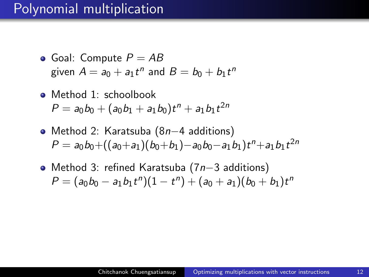### Polynomial multiplication

- Goal: Compute  $P = AB$ given  $A = a_0 + a_1t^n$  and  $B = b_0 + b_1t^n$
- Method 1: schoolbook  $P = a_0b_0 + (a_0b_1 + a_1b_0)t^n + a_1b_1t^{2n}$
- Method 2: Karatsuba (8n−4 additions)  $P = a_0b_0 + ((a_0 + a_1)(b_0 + b_1) - a_0b_0 - a_1b_1)t^n + a_1b_1t^{2n}$
- Method 3: refined Karatsuba (7n−3 additions)  $P = (a_0b_0 - a_1b_1t^n)(1 - t^n) + (a_0 + a_1)(b_0 + b_1)t^n$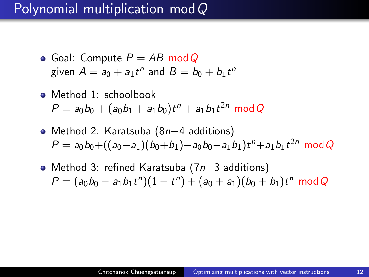### Polynomial multiplication modQ

- Goal: Compute  $P = AB \mod Q$ given  $A = a_0 + a_1t^n$  and  $B = b_0 + b_1t^n$
- Method 1: schoolbook  $P = a_0b_0 + (a_0b_1 + a_1b_0)t^n + a_1b_1t^{2n} \mod Q$
- Method 2: Karatsuba (8n−4 additions)  $P = a_0b_0 + ((a_0+a_1)(b_0+b_1)-a_0b_0-a_1b_1)t^n+a_1b_1t^{2n} \mod Q$
- Method 3: refined Karatsuba (7n−3 additions)  $P = (a_0b_0 - a_1b_1t^n)(1 - t^n) + (a_0 + a_1)(b_0 + b_1)t^n \mod Q$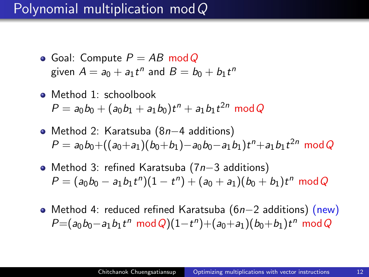### Polynomial multiplication modQ

- Goal: Compute  $P = AB \mod Q$ given  $A = a_0 + a_1t^n$  and  $B = b_0 + b_1t^n$
- Method 1: schoolbook  $P = a_0b_0 + (a_0b_1 + a_1b_0)t^n + a_1b_1t^{2n} \mod Q$
- Method 2: Karatsuba (8n−4 additions)  $P = a_0b_0 + ((a_0+a_1)(b_0+b_1)-a_0b_0-a_1b_1)t^n+a_1b_1t^{2n} \mod Q$
- Method 3: refined Karatsuba (7n−3 additions)  $P = (a_0b_0 - a_1b_1t^n)(1 - t^n) + (a_0 + a_1)(b_0 + b_1)t^n \mod Q$
- Method 4: reduced refined Karatsuba (6n−2 additions) (new)  $P=(a_0b_0-a_1b_1t^n \mod Q)(1-t^n)+(a_0+a_1)(b_0+b_1)t^n \mod Q$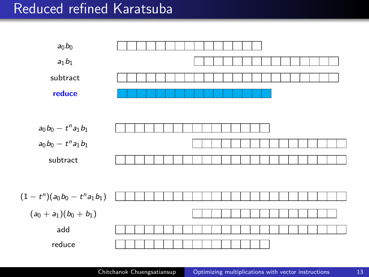### Reduced refined Karatsuba

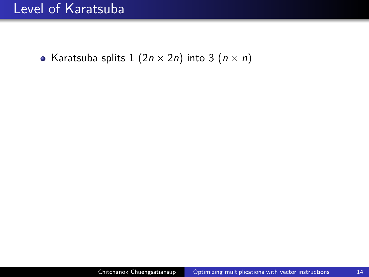### Level of Karatsuba

• Karatsuba splits 1  $(2n \times 2n)$  into 3  $(n \times n)$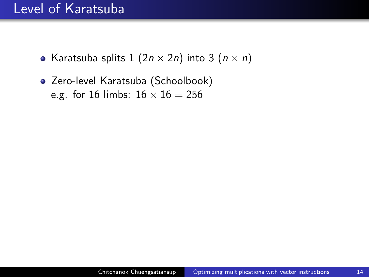### Level of Karatsuba

- Karatsuba splits  $1 (2n \times 2n)$  into  $3 (n \times n)$
- Zero-level Karatsuba (Schoolbook) e.g. for 16 limbs:  $16 \times 16 = 256$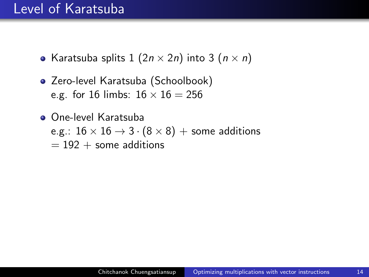#### Level of Karatsuba

- Karatsuba splits  $1 (2n \times 2n)$  into  $3 (n \times n)$
- Zero-level Karatsuba (Schoolbook) e.g. for 16 limbs:  $16 \times 16 = 256$
- One-level Karatsuba e.g.:  $16 \times 16 \rightarrow 3 \cdot (8 \times 8) +$  some additions  $= 192 +$  some additions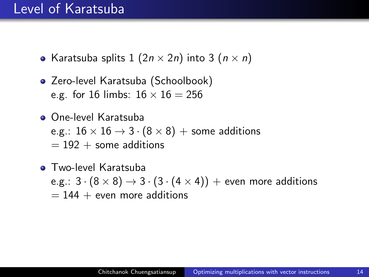#### Level of Karatsuba

- Karatsuba splits  $1$   $(2n \times 2n)$  into 3  $(n \times n)$
- Zero-level Karatsuba (Schoolbook) e.g. for 16 limbs:  $16 \times 16 = 256$
- One-level Karatsuba e.g.:  $16 \times 16 \rightarrow 3 \cdot (8 \times 8) +$  some additions  $= 192 +$  some additions
- **Two-level Karatsuba** e.g.:  $3 \cdot (8 \times 8) \rightarrow 3 \cdot (3 \cdot (4 \times 4))$  + even more additions  $= 144 +$  even more additions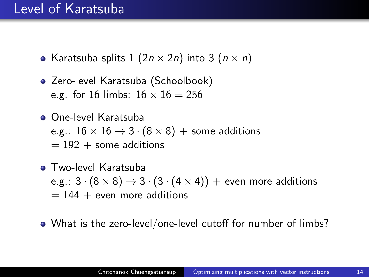#### Level of Karatsuba

- Karatsuba splits 1  $(2n \times 2n)$  into 3  $(n \times n)$
- Zero-level Karatsuba (Schoolbook) e.g. for 16 limbs:  $16 \times 16 = 256$
- One-level Karatsuba e.g.:  $16 \times 16 \rightarrow 3 \cdot (8 \times 8) +$  some additions  $= 192 +$  some additions
- **Two-level Karatsuba** e.g.:  $3 \cdot (8 \times 8) \rightarrow 3 \cdot (3 \cdot (4 \times 4))$  + even more additions  $= 144 +$  even more additions
- What is the zero-level/one-level cutoff for number of limbs?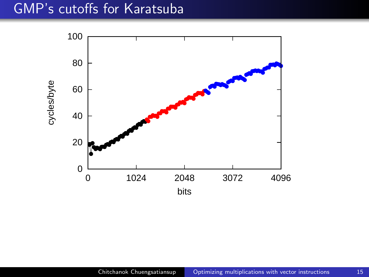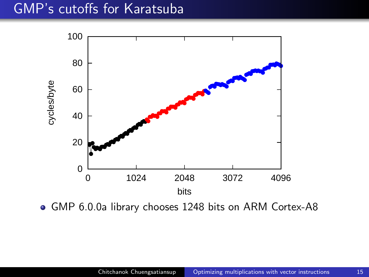

GMP 6.0.0a library chooses 1248 bits on ARM Cortex-A8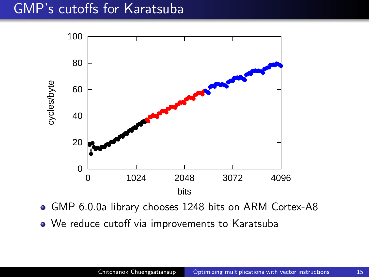

- GMP 6.0.0a library chooses 1248 bits on ARM Cortex-A8
- We reduce cutoff via improvements to Karatsuba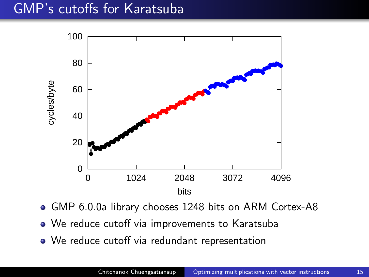

- GMP 6.0.0a library chooses 1248 bits on ARM Cortex-A8
- We reduce cutoff via improvements to Karatsuba
- We reduce cutoff via redundant representation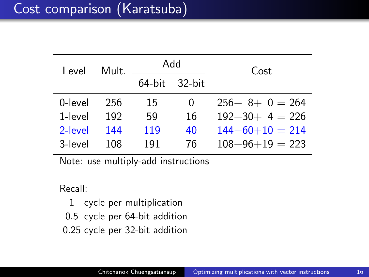# Cost comparison (Karatsuba)

| I evel  | Mult. | hbA              |          | Cost              |
|---------|-------|------------------|----------|-------------------|
|         |       | $64$ -bit 32-bit |          |                   |
| 0-level | 256   | 15               | $\Omega$ | $256+ 8+ 0 = 264$ |
| 1-level | 192   | 59               | 16       | $192+30+ 4 = 226$ |
| 2-level | 144   | 119              | 40       | $144+60+10 = 214$ |
| 3-level | 108   | 191              | 76       | $108+96+19=223$   |

Note: use multiply-add instructions

Recall:

1 cycle per multiplication

0.5 cycle per 64-bit addition

0.25 cycle per 32-bit addition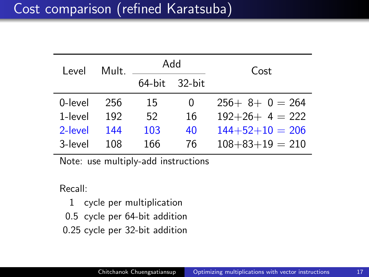# Cost comparison (refined Karatsuba)

| I evel  | Mult | hbA                 |    | Cost                  |
|---------|------|---------------------|----|-----------------------|
|         |      | $64$ -bit $32$ -bit |    |                       |
| 0-level | 256  | 15                  | 0  | $256+ 8+ 0 = 264$     |
| 1-level | 192  | 52                  | 16 | $192+26+ 4 = 222$     |
| 2-level | 144  | 103                 | 40 | $144+52+10 = 206$     |
| 3-level | 108  | 166                 | 76 | $108 + 83 + 19 = 210$ |

Note: use multiply-add instructions

Recall:

1 cycle per multiplication

0.5 cycle per 64-bit addition

0.25 cycle per 32-bit addition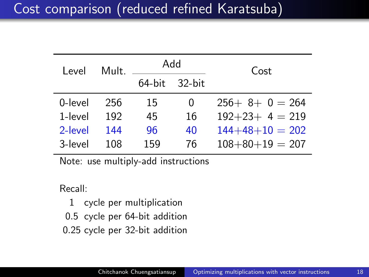# Cost comparison (reduced refined Karatsuba)

| I evel  | Mult. | hbA              |    | Cost                  |
|---------|-------|------------------|----|-----------------------|
|         |       | $64$ -bit 32-bit |    |                       |
| 0-level | 256   | 15               | 0  | $256+8+0=264$         |
| 1-level | 192   | 45               | 16 | $192+23+4=219$        |
| 2-level | 144   | 96               | 40 | $144+48+10 = 202$     |
| 3-level | 108   | 159              | 76 | $108 + 80 + 19 = 207$ |

Note: use multiply-add instructions

Recall:

1 cycle per multiplication

0.5 cycle per 64-bit addition

0.25 cycle per 32-bit addition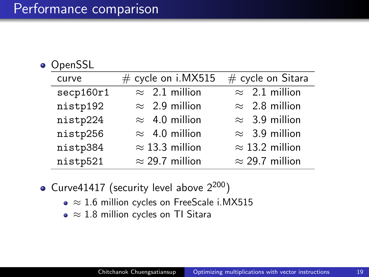#### **o** OpenSSL

| curve     | $#$ cycle on i.MX515   | $#$ cycle on Sitara    |
|-----------|------------------------|------------------------|
| secp160r1 | $\approx$ 2.1 million  | $\approx$ 2.1 million  |
| nistp192  | $\approx$ 2.9 million  | $\approx$ 2.8 million  |
| nistp224  | $\approx$ 4.0 million  | $\approx$ 3.9 million  |
| nistp256  | $\approx$ 4.0 million  | $\approx$ 3.9 million  |
| nistp384  | $\approx$ 13.3 million | $\approx$ 13.2 million |
| nistp521  | $\approx$ 29.7 million | $\approx$ 29.7 million |

- Curve41417 (security level above  $2^{200}$ )
	- $\bullet \approx 1.6$  million cycles on FreeScale i.MX515
	- $\bullet \approx 1.8$  million cycles on TI Sitara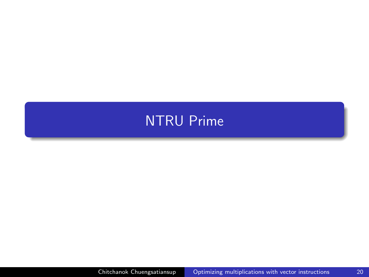# <span id="page-47-0"></span>[NTRU Prime](#page-47-0)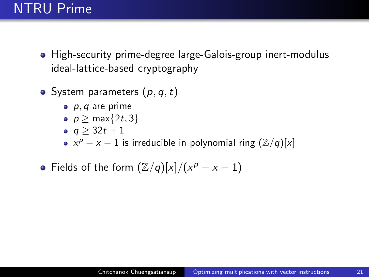# NTRU Prime

- High-security prime-degree large-Galois-group inert-modulus ideal-lattice-based cryptography
- System parameters  $(p, q, t)$ 
	- $\bullet$  p, q are prime
	- $p > max\{2t, 3\}$
	- $q > 32t + 1$
	- $x^p x 1$  is irreducible in polynomial ring  $(\mathbb{Z}/q)[x]$
- Fields of the form  $(\mathbb{Z}/q)[x]/(x^p x 1)$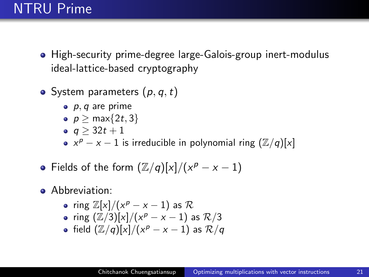# NTRU Prime

- High-security prime-degree large-Galois-group inert-modulus ideal-lattice-based cryptography
- System parameters  $(p, q, t)$ 
	- $\bullet$  p, q are prime
	- $p > max\{2t, 3\}$
	- $q > 32t + 1$
	- $x^p x 1$  is irreducible in polynomial ring  $(\mathbb{Z}/q)[x]$
- Fields of the form  $(\mathbb{Z}/q)[x]/(x^p x 1)$
- **Abbreviation:** 
	- ring  $\mathbb{Z}[x]/(x^p x 1)$  as  $\mathcal{R}$
	- ring  $(\mathbb{Z}/3)[x]/(x^p x 1)$  as  $\mathcal{R}/3$
	- field  $(\mathbb{Z}/q)[x]/(x^p-x-1)$  as  $\mathcal{R}/q$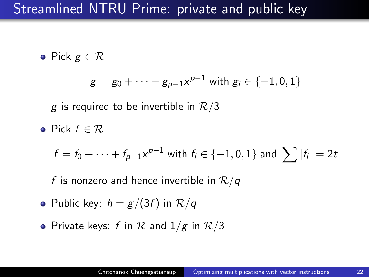# Streamlined NTRU Prime: private and public key

• Pick  $g \in \mathcal{R}$ 

$$
g = g_0 + \cdots + g_{p-1} x^{p-1} \text{ with } g_i \in \{-1, 0, 1\}
$$

g is required to be invertible in  $\mathcal{R}/3$ 

• Pick  $f \in \mathcal{R}$ 

$$
f = f_0 + \cdots + f_{p-1}x^{p-1} \text{ with } f_i \in \{-1, 0, 1\} \text{ and } \sum |f_i| = 2t
$$

f is nonzero and hence invertible in  $\mathcal{R}/q$ 

- Public key:  $h = g/(3f)$  in  $\mathcal{R}/q$
- Private keys: f in  $R$  and  $1/g$  in  $R/3$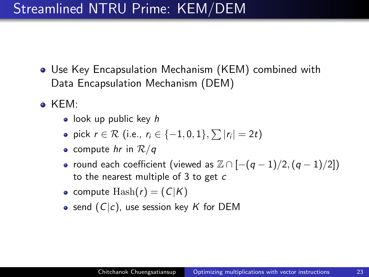# Streamlined NTRU Prime: KEM/DEM

- Use Key Encapsulation Mechanism (KEM) combined with Data Encapsulation Mechanism (DEM)
- KEM:
	- look up public key  $h$
	- pick  $r \in \mathcal{R}$  (i.e.,  $r_i \in \{-1,0,1\}, \sum |r_i| = 2t$ )
	- compute hr in  $\mathcal{R}/q$
	- round each coefficient (viewed as  $\mathbb{Z} \cap [-(q-1)/2,(q-1)/2])$ to the nearest multiple of 3 to get c
	- compute  $\text{Hash}(r) = (C|K)$
	- send  $(C|c)$ , use session key K for DEM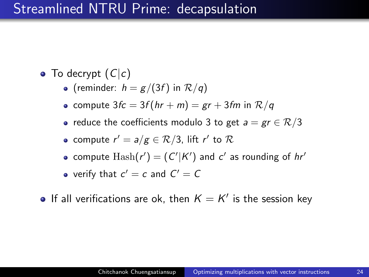### Streamlined NTRU Prime: decapsulation

- To decrypt  $(C|c)$ 
	- (reminder:  $h = g/(3f)$  in  $\mathcal{R}/q$ )
	- compute  $3fc = 3f(hr + m) = gr + 3fm$  in  $\mathcal{R}/q$
	- reduce the coefficients modulo 3 to get  $a = gr \in \mathcal{R}/3$
	- compute  $r'=a/g\in \mathcal{R}/3$ , lift  $r'$  to  $\mathcal R$
	- compute  $\text{Hash}(r') = (C'|K')$  and  $c'$  as rounding of  $hr'$
	- verify that  $c' = c$  and  $C' = C$
- If all verifications are ok, then  $K = K'$  is the session key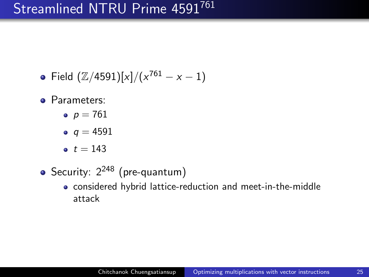# Streamlined NTRU Prime 4591761

- Field  $(\mathbb{Z}/4591)[x]/(x^{761}-x-1)$
- Parameters:
	- $p = 761$
	- $q = 4591$
	- $t = 143$
- Security:  $2^{248}$  (pre-quantum)
	- considered hybrid lattice-reduction and meet-in-the-middle attack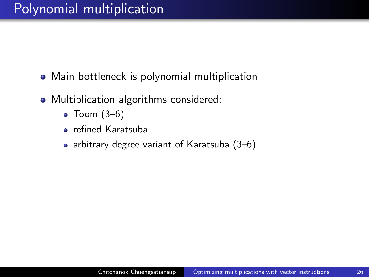- Main bottleneck is polynomial multiplication
- Multiplication algorithms considered:
	- $\bullet$  Toom  $(3-6)$
	- refined Karatsuba
	- arbitrary degree variant of Karatsuba (3-6)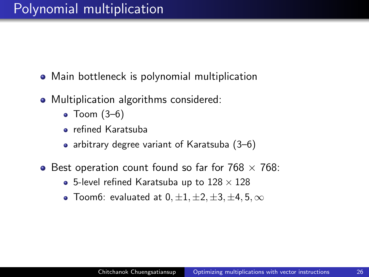- Main bottleneck is polynomial multiplication
- Multiplication algorithms considered:
	- $\bullet$  Toom  $(3-6)$
	- refined Karatsuba
	- arbitrary degree variant of Karatsuba  $(3-6)$
- Best operation count found so far for  $768 \times 768$ :
	- 5-level refined Karatsuba up to  $128 \times 128$
	- Toom6: evaluated at  $0, \pm 1, \pm 2, \pm 3, \pm 4, 5, \infty$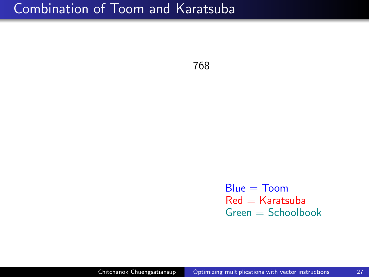768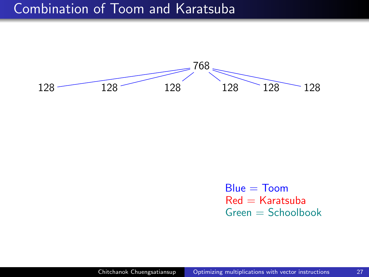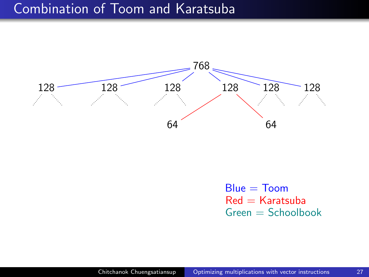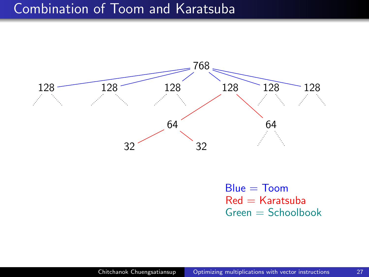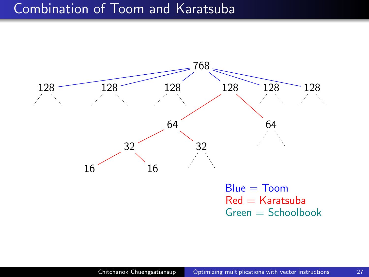

 $Red =$  Karatsuba  $G$ reen  $=$  Schoolbook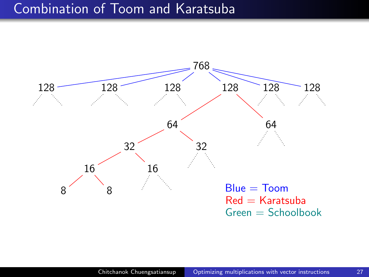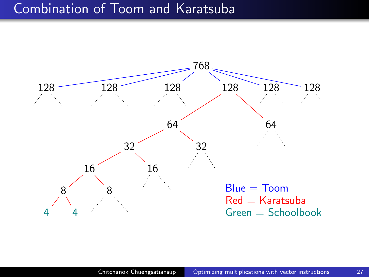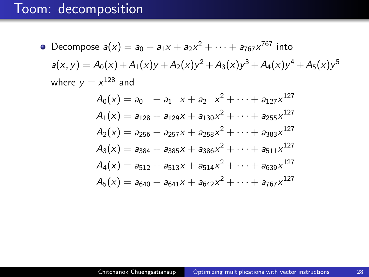# Toom: decomposition

• Decompose 
$$
a(x) = a_0 + a_1x + a_2x^2 + \cdots + a_{767}x^{767}
$$
 into  
\n $a(x, y) = A_0(x) + A_1(x)y + A_2(x)y^2 + A_3(x)y^3 + A_4(x)y^4 + A_5(x)y^5$   
\nwhere  $y = x^{128}$  and  
\n $A_0(x) = a_0 + a_1 \ x + a_2 \ x^2 + \cdots + a_{127}x^{127}$   
\n $A_1(x) = a_{128} + a_{129}x + a_{130}x^2 + \cdots + a_{255}x^{127}$   
\n $A_2(x) = a_{256} + a_{257}x + a_{258}x^2 + \cdots + a_{383}x^{127}$   
\n $A_3(x) = a_{384} + a_{385}x + a_{386}x^2 + \cdots + a_{511}x^{127}$   
\n $A_4(x) = a_{512} + a_{513}x + a_{514}x^2 + \cdots + a_{639}x^{127}$   
\n $A_5(x) = a_{640} + a_{641}x + a_{642}x^2 + \cdots + a_{767}x^{127}$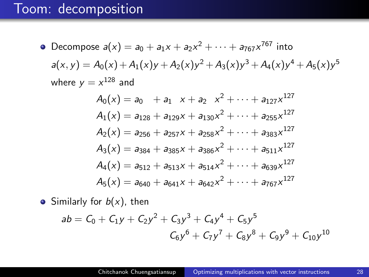# Toom: decomposition

• Decompose 
$$
a(x) = a_0 + a_1x + a_2x^2 + \cdots + a_{767}x^{767}
$$
 into  
\n $a(x, y) = A_0(x) + A_1(x)y + A_2(x)y^2 + A_3(x)y^3 + A_4(x)y^4 + A_5(x)y^5$   
\nwhere  $y = x^{128}$  and  
\n $A_0(x) = a_0 + a_1 \ x + a_2 \ x^2 + \cdots + a_{127}x^{127}$   
\n $A_1(x) = a_{128} + a_{129}x + a_{130}x^2 + \cdots + a_{255}x^{127}$   
\n $A_2(x) = a_{256} + a_{257}x + a_{258}x^2 + \cdots + a_{383}x^{127}$   
\n $A_3(x) = a_{384} + a_{385}x + a_{386}x^2 + \cdots + a_{511}x^{127}$   
\n $A_4(x) = a_{512} + a_{513}x + a_{514}x^2 + \cdots + a_{639}x^{127}$   
\n $A_5(x) = a_{640} + a_{641}x + a_{642}x^2 + \cdots + a_{767}x^{127}$ 

• Similarly for  $b(x)$ , then

$$
ab = C_0 + C_1y + C_2y^2 + C_3y^3 + C_4y^4 + C_5y^5
$$
  

$$
C_6y^6 + C_7y^7 + C_8y^8 + C_9y^9 + C_{10}y^{10}
$$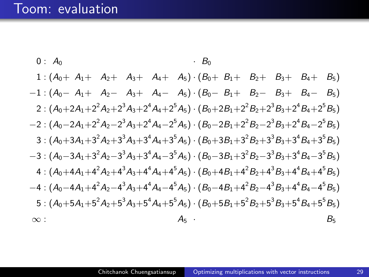# Toom: evaluation

0: 
$$
A_0
$$
  
\n1:  $(A_0 + A_1 + A_2 + A_3 + A_4 + A_5) \cdot (B_0 + B_1 + B_2 + B_3 + B_4 + B_5)$   
\n-1:  $(A_0 - A_1 + A_2 - A_3 + A_4 - A_5) \cdot (B_0 - B_1 + B_2 - B_3 + B_4 - B_5)$   
\n2:  $(A_0 + 2A_1 + 2^2A_2 + 2^3A_3 + 2^4A_4 + 2^5A_5) \cdot (B_0 + 2B_1 + 2^2B_2 + 2^3B_3 + 2^4B_4 + 2^5B_5)$   
\n-2:  $(A_0 - 2A_1 + 2^2A_2 - 2^3A_3 + 2^4A_4 - 2^5A_5) \cdot (B_0 - 2B_1 + 2^2B_2 - 2^3B_3 + 2^4B_4 - 2^5B_5)$   
\n3:  $(A_0 + 3A_1 + 3^2A_2 + 3^3A_3 + 3^4A_4 + 3^5A_5) \cdot (B_0 + 3B_1 + 3^2B_2 + 3^3B_3 + 3^4B_4 + 3^5B_5)$   
\n-3:  $(A_0 - 3A_1 + 3^2A_2 - 3^3A_3 + 3^4A_4 - 3^5A_5) \cdot (B_0 - 3B_1 + 3^2B_2 - 3^3B_3 + 3^4B_4 - 3^5B_5)$   
\n4:  $(A_0 + 4A_1 + 4^2A_2 + 4^3A_3 + 4^4A_4 + 4^5A_5) \cdot (B_0 + 4B_1 + 4^2B_2 + 4^3B_3 + 4^4B_4 + 4^5B_5)$   
\n-4:  $(A_0 - 4A_1 + 4^2A_2 - 4^3A_3 + 4^4A_4 - 4^5A_5) \cdot (B_0 - 4B_1 + 4^2B_2 - 4^3B_3 + 4^4B_4 - 4^5B_5)$   
\n5:  $(A_0 + 5A_1 + 5^2A_2 + 5^3A_3 + 5^4A_4 + 5^5A$ 

29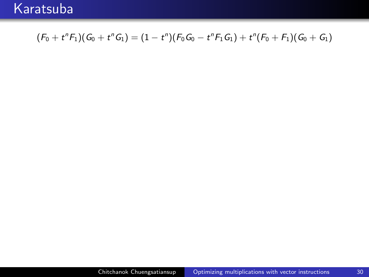$$
(F_0 + t^n F_1)(G_0 + t^n G_1) = (1 - t^n)(F_0 G_0 - t^n F_1 G_1) + t^n (F_0 + F_1)(G_0 + G_1)
$$

 $30<sup>°</sup>$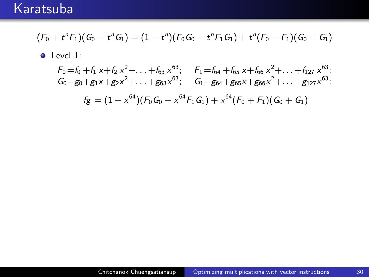$$
(\mathit{F}_0 + t^n \mathit{F}_1)(\mathit{G}_0 + t^n \mathit{G}_1) = (1 - t^n) (\mathit{F}_0 \mathit{G}_0 - t^n \mathit{F}_1 \mathit{G}_1) + t^n (\mathit{F}_0 + \mathit{F}_1) (\mathit{G}_0 + \mathit{G}_1)
$$

• Level 1:

 $F_0 = f_0 + f_1 x + f_2 x^2 + \ldots + f_{63} x^{63};$   $F_1 = f_{64} + f_{65} x + f_{66} x^2 + \ldots + f_{127} x^{63};$ <br>  $G_0 = g_0 + g_1 x + g_2 x^2 + \ldots + g_{63} x^{63};$   $G_1 = g_{64} + g_{65} x + g_{66} x^2 + \ldots + g_{127} x^{63};$  $fg = (1 - x^{64}) (F_0 G_0 - x^{64} F_1 G_1) + x^{64} (F_0 + F_1) (G_0 + G_1)$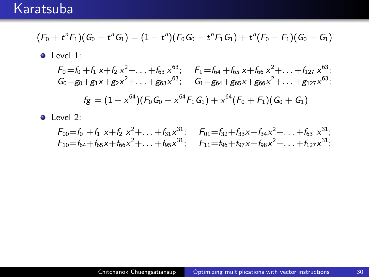$$
(\mathit{F}_0 + t^n \mathit{F}_1)(\mathit{G}_0 + t^n \mathit{G}_1) = (1 - t^n) (\mathit{F}_0 \mathit{G}_0 - t^n \mathit{F}_1 \mathit{G}_1) + t^n (\mathit{F}_0 + \mathit{F}_1)(\mathit{G}_0 + \mathit{G}_1)
$$

• Level 1:

 $F_0 = f_0 + f_1 x + f_2 x^2 + \ldots + f_{63} x^{63};$   $F_1 = f_{64} + f_{65} x + f_{66} x^2 + \ldots + f_{127} x^{63};$ <br>  $G_0 = g_0 + g_1 x + g_2 x^2 + \ldots + g_{63} x^{63};$   $G_1 = g_{64} + g_{65} x + g_{66} x^2 + \ldots + g_{127} x^{63};$  $f_{\mathcal{L}} = (1 - x^{64}) (F_0 G_0 - x^{64} F_1 G_1) + x^{64} (F_0 + F_1) (G_0 + G_1)$ 

 $\bullet$  Level 2:

$$
F_{00}=f_0 + f_1 x + f_2 x^2 + \ldots + f_{31} x^{31}; \quad F_{01}=f_{32}+f_{33}x + f_{34}x^2 + \ldots + f_{63} x^{31};
$$
  
\n
$$
F_{10}=f_{64}+f_{65}x + f_{66}x^2 + \ldots + f_{95}x^{31}; \quad F_{11}=f_{96}+f_{97}x + f_{98}x^2 + \ldots + f_{127}x^{31};
$$

30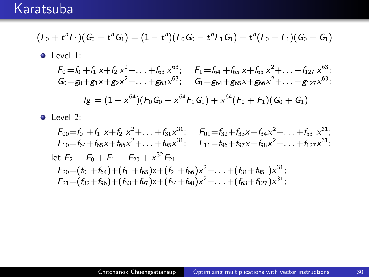$$
(\mathit{F}_0 + t^n \mathit{F}_1)(\mathit{G}_0 + t^n \mathit{G}_1) = (1 - t^n) (\mathit{F}_0 \mathit{G}_0 - t^n \mathit{F}_1 \mathit{G}_1) + t^n (\mathit{F}_0 + \mathit{F}_1)(\mathit{G}_0 + \mathit{G}_1)
$$

• Level 1:

 $F_0 = f_0 + f_1 x + f_2 x^2 + \ldots + f_{63} x^{63};$   $F_1 = f_{64} + f_{65} x + f_{66} x^2 + \ldots + f_{127} x^{63};$ <br>  $G_0 = g_0 + g_1 x + g_2 x^2 + \ldots + g_{63} x^{63};$   $G_1 = g_{64} + g_{65} x + g_{66} x^2 + \ldots + g_{127} x^{63};$  $\sim$  $\sim$  $\sim$ 

$$
fg = (1 - x^{64})(F_0G_0 - x^{64}F_1G_1) + x^{64}(F_0 + F_1)(G_0 + G_1)
$$

 $\bullet$  Level 2:

$$
F_{00} = f_0 + f_1 \times + f_2 \times^2 + \ldots + f_{31} \times^{31}; \qquad F_{01} = f_{32} + f_{33} \times + f_{34} \times^2 + \ldots + f_{63} \times^{31};
$$
\n
$$
F_{10} = f_{64} + f_{65} \times + f_{66} \times^2 + \ldots + f_{95} \times^{31}; \qquad F_{11} = f_{96} + f_{97} \times + f_{98} \times^2 + \ldots + f_{127} \times^{31};
$$
\nlet  $F_2 = F_0 + F_1 = F_{20} + \times^{32} F_{21}$ \n
$$
F_{20} = (f_0 + f_{64}) + (f_1 + f_{65}) \times + (f_2 + f_{66}) \times^2 + \ldots + (f_{31} + f_{95}) \times^{31};
$$
\n
$$
F_{21} = (f_{32} + f_{96}) + (f_{33} + f_{97}) \times + (f_{34} + f_{98}) \times^2 + \ldots + (f_{63} + f_{127}) \times^{31};
$$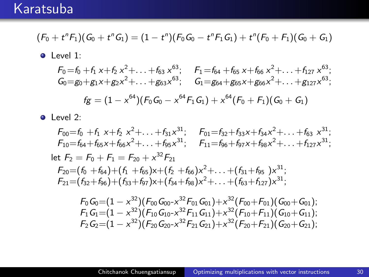$$
(\mathit{F}_0 + t^n \mathit{F}_1)(\mathit{G}_0 + t^n \mathit{G}_1) = (1 - t^n) (\mathit{F}_0 \mathit{G}_0 - t^n \mathit{F}_1 \mathit{G}_1) + t^n (\mathit{F}_0 + \mathit{F}_1) (\mathit{G}_0 + \mathit{G}_1)
$$

• Level 1:

 $F_0 = f_0 + f_1 x + f_2 x^2 + \ldots + f_{63} x^{63};$   $F_1 = f_{64} + f_{65} x + f_{66} x^2 + \ldots + f_{127} x^{63};$ <br>  $G_0 = g_0 + g_1 x + g_2 x^2 + \ldots + g_{63} x^{63};$   $G_1 = g_{64} + g_{65} x + g_{66} x^2 + \ldots + g_{127} x^{63};$  $\sim$  $\sim$  $\sim$ 

$$
fg = (1 - x^{64})(F_0G_0 - x^{64}F_1G_1) + x^{64}(F_0 + F_1)(G_0 + G_1)
$$

 $\bullet$  Level 2:

$$
F_{00} = f_0 + f_1 \times + f_2 \times^2 + \ldots + f_{31} \times^{31}; \qquad F_{01} = f_{32} + f_{33} \times + f_{34} \times^2 + \ldots + f_{63} \times^{31};
$$
\n
$$
F_{10} = f_{64} + f_{65} \times + f_{66} \times^2 + \ldots + f_{95} \times^{31}; \qquad F_{11} = f_{96} + f_{97} \times + f_{98} \times^2 + \ldots + f_{127} \times^{31};
$$
\nlet  $F_2 = F_0 + F_1 = F_{20} + \times^{32} F_{21}$ \n
$$
F_{20} = (f_0 + f_{64}) + (f_1 + f_{65}) \times + (f_2 + f_{66}) \times^2 + \ldots + (f_{31} + f_{95}) \times^{31};
$$
\n
$$
F_{21} = (f_{32} + f_{96}) + (f_{33} + f_{97}) \times + (f_{34} + f_{98}) \times^2 + \ldots + (f_{63} + f_{127}) \times^{31};
$$

$$
F_0G_0=(1-x^{32})(F_{00}G_{00}-x^{32}F_{01}G_{01})+x^{32}(F_{00}+F_{01})(G_{00}+G_{01});\\F_1G_1=(1-x^{32})(F_{10}G_{10}-x^{32}F_{11}G_{11})+x^{32}(F_{10}+F_{11})(G_{10}+G_{11});\\F_2G_2=(1-x^{32})(F_{20}G_{20}-x^{32}F_{21}G_{21})+x^{32}(F_{20}+F_{21})(G_{20}+G_{21});
$$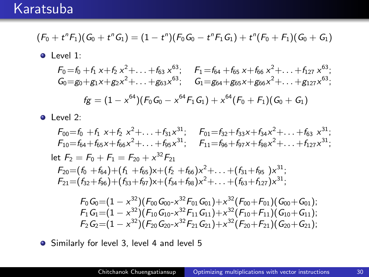$$
(F_0+t^nF_1)(G_0+t^nG_1)=(1-t^n)(F_0G_0-t^nF_1G_1)+t^n(F_0+F_1)(G_0+G_1)
$$

• Level 1:

 $F_0 = f_0 + f_1 x + f_2 x^2 + \ldots + f_{63} x^{63};$   $F_1 = f_{64} + f_{65} x + f_{66} x^2 + \ldots + f_{127} x^{63};$ <br>  $G_0 = g_0 + g_1 x + g_2 x^2 + \ldots + g_{63} x^{63};$   $G_1 = g_{64} + g_{65} x + g_{66} x^2 + \ldots + g_{127} x^{63};$ 

$$
fg = (1 - x^{64})(F_0G_0 - x^{64}F_1G_1) + x^{64}(F_0 + F_1)(G_0 + G_1)
$$

• Level 2:

$$
F_{00} = f_0 + f_1 \times + f_2 \times^2 + \ldots + f_{31} \times^{31}; \t F_{01} = f_{32} + f_{33} \times + f_{34} \times^2 + \ldots + f_{63} \times^{31};
$$
  
\n
$$
F_{10} = f_{64} + f_{65} \times + f_{66} \times^2 + \ldots + f_{95} \times^{31}; \t F_{11} = f_{96} + f_{97} \times + f_{98} \times^2 + \ldots + f_{127} \times^{31};
$$
  
\nlet  $F_2 = F_0 + F_1 = F_{20} + \times^{32} F_{21}$   
\n
$$
F_{20} = (f_0 + f_{64}) + (f_1 + f_{65}) \times + (f_2 + f_{66}) \times^2 + \ldots + (f_{31} + f_{95}) \times^{31};
$$
  
\n
$$
F_{21} = (f_{32} + f_{96}) + (f_{33} + f_{97}) \times + (f_{34} + f_{98}) \times^2 + \ldots + (f_{63} + f_{127}) \times^{31};
$$

$$
F_0G_0{=}(1-x^{32})(F_{00}G_{00}{-}x^{32}F_{01}G_{01}){+}x^{32}(F_{00}{+}F_{01})(G_{00}{+}G_{01});\\F_1G_1{=}(1-x^{32})(F_{10}G_{10}{-}x^{32}F_{11}G_{11}){+}x^{32}(F_{10}{+}F_{11})(G_{10}{+}G_{11});\\F_2G_2{=}(1-x^{32})(F_{20}G_{20}{-}x^{32}F_{21}G_{21}){+}x^{32}(F_{20}{+}F_{21})(G_{20}{+}G_{21});
$$

• Similarly for level 3, level 4 and level 5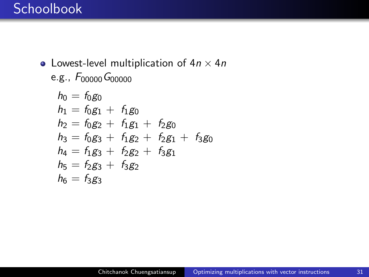## **Schoolbook**

• Lowest-level multiplication of  $4n \times 4n$ e.g.,  $F_{00000} G_{00000}$ 

$$
h_0 = f_0 g_0
$$
  
\n
$$
h_1 = f_0 g_1 + f_1 g_0
$$
  
\n
$$
h_2 = f_0 g_2 + f_1 g_1 + f_2 g_0
$$
  
\n
$$
h_3 = f_0 g_3 + f_1 g_2 + f_2 g_1 + f_3 g_0
$$
  
\n
$$
h_4 = f_1 g_3 + f_2 g_2 + f_3 g_1
$$
  
\n
$$
h_5 = f_2 g_3 + f_3 g_2
$$
  
\n
$$
h_6 = f_3 g_3
$$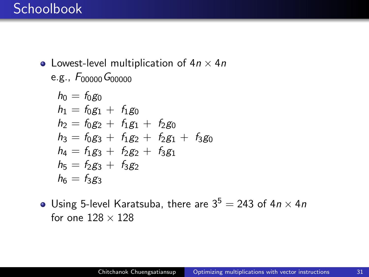• Lowest-level multiplication of  $4n \times 4n$ e.g.,  $F_{00000} G_{00000}$ 

$$
h_0 = f_0 g_0
$$
  
\n
$$
h_1 = f_0 g_1 + f_1 g_0
$$
  
\n
$$
h_2 = f_0 g_2 + f_1 g_1 + f_2 g_0
$$
  
\n
$$
h_3 = f_0 g_3 + f_1 g_2 + f_2 g_1 + f_3 g_0
$$
  
\n
$$
h_4 = f_1 g_3 + f_2 g_2 + f_3 g_1
$$
  
\n
$$
h_5 = f_2 g_3 + f_3 g_2
$$
  
\n
$$
h_6 = f_3 g_3
$$

• Using 5-level Karatsuba, there are  $3^5 = 243$  of  $4n \times 4n$ for one  $128 \times 128$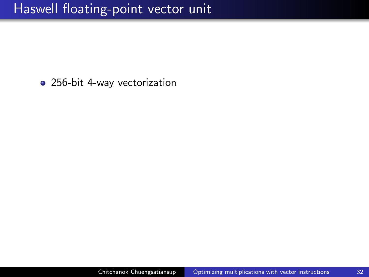256-bit 4-way vectorization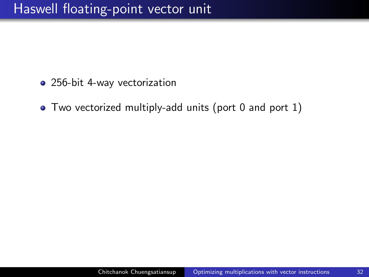- 256-bit 4-way vectorization
- Two vectorized multiply-add units (port 0 and port 1)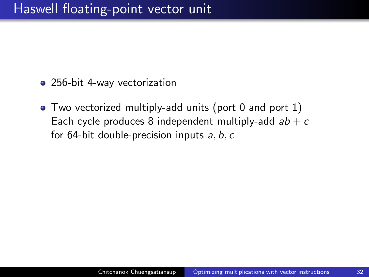- 256-bit 4-way vectorization
- Two vectorized multiply-add units (port 0 and port 1) Each cycle produces 8 independent multiply-add  $ab + c$ for 64-bit double-precision inputs  $a, b, c$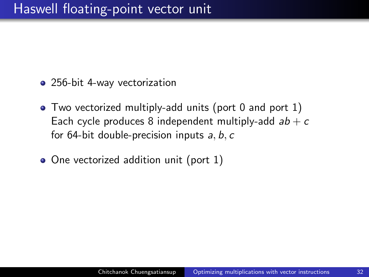- 256-bit 4-way vectorization
- Two vectorized multiply-add units (port 0 and port 1) Each cycle produces 8 independent multiply-add  $ab + c$ for 64-bit double-precision inputs  $a, b, c$
- One vectorized addition unit (port 1)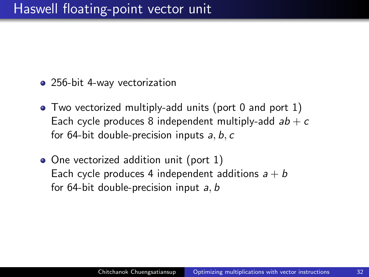- 256-bit 4-way vectorization
- Two vectorized multiply-add units (port 0 and port 1) Each cycle produces 8 independent multiply-add  $ab + c$ for 64-bit double-precision inputs  $a, b, c$
- One vectorized addition unit (port 1) Each cycle produces 4 independent additions  $a + b$ for 64-bit double-precision input a, b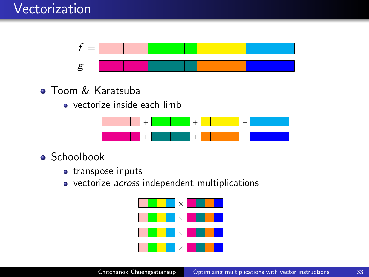

- **Toom & Karatsuba** 
	- vectorize inside each limb



- **Schoolbook** 
	- transpose inputs
	- vectorize *across* independent multiplications

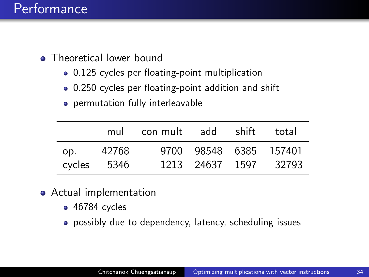- Theoretical lower bound
	- 0.125 cycles per floating-point multiplication
	- 0.250 cycles per floating-point addition and shift
	- permutation fully interleavable

|             | mul con mult add shift total |  |                                                 |
|-------------|------------------------------|--|-------------------------------------------------|
| op. 42768   |                              |  | 9700 98548 6385 157401<br>1213 24637 1597 32793 |
| cycles 5346 |                              |  |                                                 |

- Actual implementation
	- 46784 cycles
	- possibly due to dependency, latency, scheduling issues